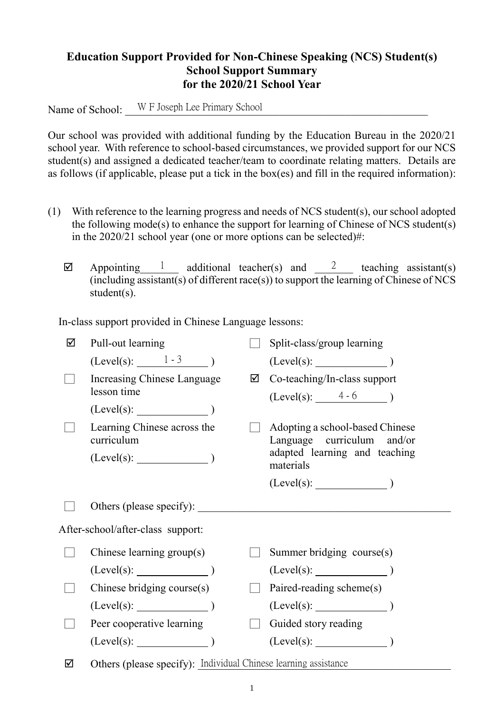## **Education Support Provided for Non-Chinese Speaking (NCS) Student(s) School Support Summary for the 2020/21 School Year**

Name of School: W F Joseph Lee Primary School

Our school was provided with additional funding by the Education Bureau in the 2020/21 school year. With reference to school-based circumstances, we provided support for our NCS student(s) and assigned a dedicated teacher/team to coordinate relating matters. Details are as follows (if applicable, please put a tick in the box(es) and fill in the required information):

- (1) With reference to the learning progress and needs of NCS student(s), our school adopted the following mode(s) to enhance the support for learning of Chinese of NCS student(s) in the 2020/21 school year (one or more options can be selected)#:
	- $\boxtimes$  Appointing 1 additional teacher(s) and 2 teaching assistant(s) (including assistant(s) of different race(s)) to support the learning of Chinese of NCS student(s).

In-class support provided in Chinese Language lessons:

| ☑ | Pull-out learning                                               |   | Split-class/group learning                                    |  |
|---|-----------------------------------------------------------------|---|---------------------------------------------------------------|--|
|   | $(Level(s):$ $1-3$ )                                            |   |                                                               |  |
|   | Increasing Chinese Language<br>lesson time                      | ☑ | Co-teaching/In-class support<br>$(Level(s):$ 4 - 6 )          |  |
|   | (Level(s):                                                      |   |                                                               |  |
|   | Learning Chinese across the<br>curriculum                       |   | Adopting a school-based Chinese<br>Language curriculum and/or |  |
|   | $(Level(s):$ $)$                                                |   | adapted learning and teaching<br>materials                    |  |
|   |                                                                 |   |                                                               |  |
|   | Others (please specify): _______                                |   |                                                               |  |
|   | After-school/after-class support:                               |   |                                                               |  |
|   | Chinese learning group(s)                                       |   | Summer bridging course(s)                                     |  |
|   | $(Level(s):$ (Level(s):                                         |   |                                                               |  |
|   | Chinese bridging course(s)                                      |   | Paired-reading scheme(s)                                      |  |
|   | $(Level(s):$ $)$                                                |   |                                                               |  |
|   | Peer cooperative learning                                       |   | Guided story reading                                          |  |
|   | $(Level(s):$ $)$                                                |   | $(Level(s):$ (Level(s):                                       |  |
| ☑ | Others (please specify): Individual Chinese learning assistance |   |                                                               |  |